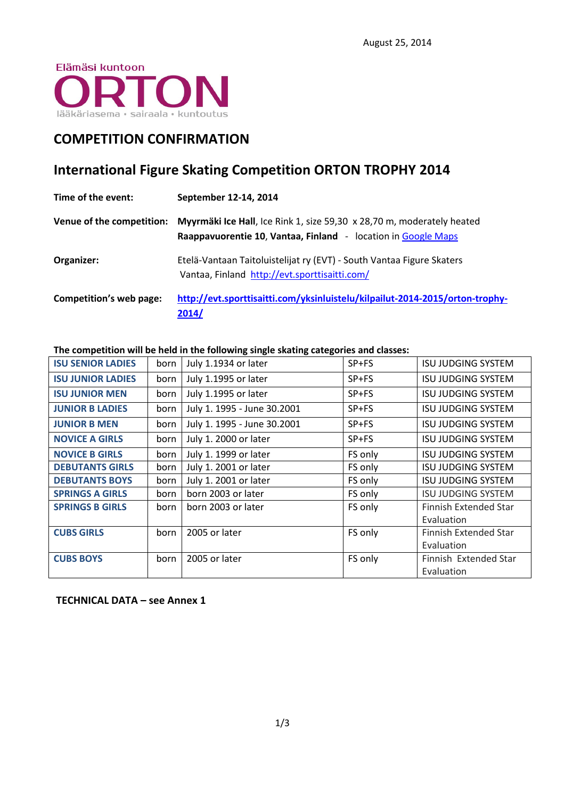

## **COMPETITION CONFIRMATION**

# **International Figure Skating Competition ORTON TROPHY 2014**

| Time of the event:        | September 12-14, 2014                                                                                                                   |
|---------------------------|-----------------------------------------------------------------------------------------------------------------------------------------|
| Venue of the competition: | Myyrmäki Ice Hall, Ice Rink 1, size 59,30 x 28,70 m, moderately heated<br>Raappavuorentie 10, Vantaa, Finland - location in Google Maps |
| Organizer:                | Etelä-Vantaan Taitoluistelijat ry (EVT) - South Vantaa Figure Skaters<br>Vantaa, Finland http://evt.sporttisaitti.com/                  |
| Competition's web page:   | http://evt.sporttisaitti.com/yksinluistelu/kilpailut-2014-2015/orton-trophy-<br>2014/                                                   |

**The competition will be held in the following single skating categories and classes:**

| <b>ISU SENIOR LADIES</b> | born | July 1.1934 or later        | $SP + FS$ | ISU JUDGING SYSTEM           |
|--------------------------|------|-----------------------------|-----------|------------------------------|
| <b>ISU JUNIOR LADIES</b> | born | July 1.1995 or later        | $SP + FS$ | ISU JUDGING SYSTEM           |
| <b>ISU JUNIOR MEN</b>    | born | July 1.1995 or later        | $SP + FS$ | <b>ISU JUDGING SYSTEM</b>    |
| <b>JUNIOR B LADIES</b>   | born | July 1. 1995 - June 30.2001 | $SP + FS$ | ISU JUDGING SYSTEM           |
| <b>JUNIOR B MEN</b>      | born | July 1. 1995 - June 30.2001 | SP+FS     | <b>ISU JUDGING SYSTEM</b>    |
| <b>NOVICE A GIRLS</b>    | born | July 1. 2000 or later       | $SP + FS$ | ISU JUDGING SYSTEM           |
| <b>NOVICE B GIRLS</b>    | born | July 1. 1999 or later       | FS only   | <b>ISU JUDGING SYSTEM</b>    |
| <b>DEBUTANTS GIRLS</b>   | born | July 1. 2001 or later       | FS only   | <b>ISU JUDGING SYSTEM</b>    |
| <b>DEBUTANTS BOYS</b>    | born | July 1. 2001 or later       | FS only   | <b>ISU JUDGING SYSTEM</b>    |
| <b>SPRINGS A GIRLS</b>   | born | born 2003 or later          | FS only   | <b>ISU JUDGING SYSTEM</b>    |
| <b>SPRINGS B GIRLS</b>   | born | born 2003 or later          | FS only   | Finnish Extended Star        |
|                          |      |                             |           | Evaluation                   |
| <b>CUBS GIRLS</b>        | born | 2005 or later               | FS only   | <b>Finnish Extended Star</b> |
|                          |      |                             |           | Evaluation                   |
| <b>CUBS BOYS</b>         | born | 2005 or later               | FS only   | Finnish Extended Star        |
|                          |      |                             |           | Evaluation                   |

### **TECHNICAL DATA – see Annex 1**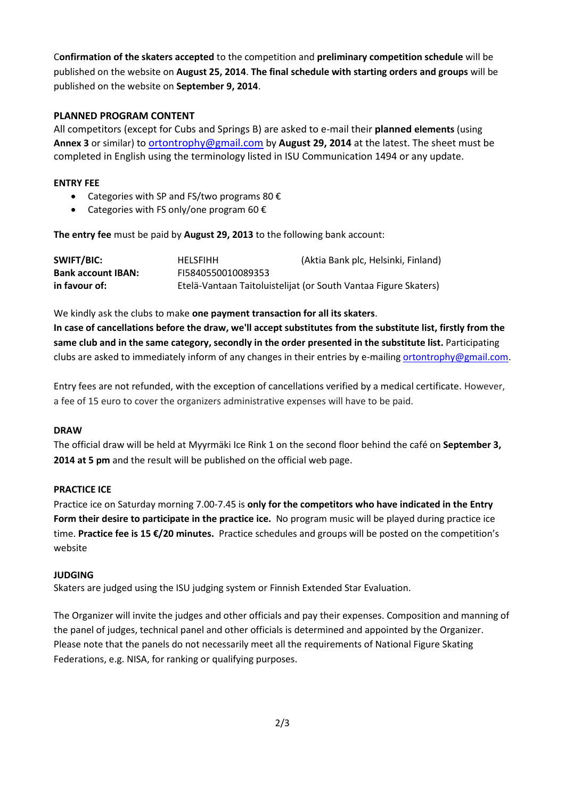ľ C**onfirmation of the skaters accepted** to the competition and **preliminary competition schedule** will be published on the website on **August 25, 2014**. **The final schedule with starting orders and groups** will be published on the website on **September 9, 2014**.

### **PLANNED PROGRAM CONTENT**

All competitors (except for Cubs and Springs B) are asked to e-mail their **planned elements** (using **Annex 3** or similar) to [ortontrophy@gmail.com](mailto:ortontrophy@gmail.com) by **August 29, 2014** at the latest. The sheet must be completed in English using the terminology listed in ISU Communication 1494 or any update.

### **ENTRY FEE**

- Categories with SP and FS/two programs 80  $\epsilon$
- Categories with FS only/one program 60  $\epsilon$

**The entry fee** must be paid by **August 29, 2013** to the following bank account:

| SWIFT/BIC:                | <b>HELSFIHH</b>    | (Aktia Bank plc, Helsinki, Finland)                             |
|---------------------------|--------------------|-----------------------------------------------------------------|
| <b>Bank account IBAN:</b> | FI5840550010089353 |                                                                 |
| in favour of:             |                    | Etelä-Vantaan Taitoluistelijat (or South Vantaa Figure Skaters) |

We kindly ask the clubs to make **one payment transaction for all its skaters**.

**In case of cancellations before the draw, we'll accept substitutes from the substitute list, firstly from the same club and in the same category, secondly in the order presented in the substitute list.** Participating clubs are asked to immediately inform of any changes in their entries by e-mailing [ortontrophy@gmail.com.](mailto:ortontrophy@gmail.com)

Entry fees are not refunded, with the exception of cancellations verified by a medical certificate. However, a fee of 15 euro to cover the organizers administrative expenses will have to be paid.

### **DRAW**

The official draw will be held at Myyrmäki Ice Rink 1 on the second floor behind the café on **September 3, 2014 at 5 pm** and the result will be published on the official web page.

### **PRACTICE ICE**

Practice ice on Saturday morning 7.00-7.45 is **only for the competitors who have indicated in the Entry Form their desire to participate in the practice ice.** No program music will be played during practice ice time. **Practice fee is 15 €/20 minutes.** Practice schedules and groups will be posted on the competition's website

### **JUDGING**

Skaters are judged using the ISU judging system or Finnish Extended Star Evaluation.

The Organizer will invite the judges and other officials and pay their expenses. Composition and manning of the panel of judges, technical panel and other officials is determined and appointed by the Organizer. Please note that the panels do not necessarily meet all the requirements of National Figure Skating Federations, e.g. NISA, for ranking or qualifying purposes.